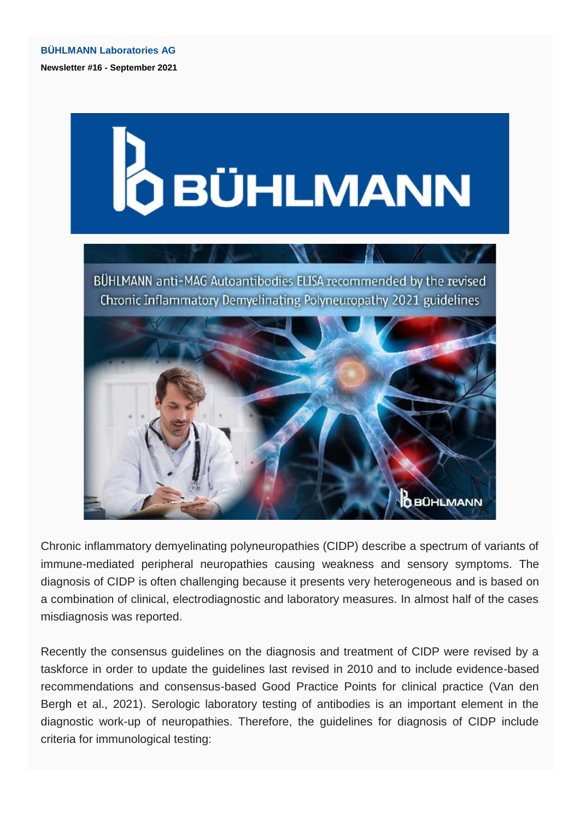

Chronic inflammatory demyelinating polyneuropathies (CIDP) describe a spectrum of variants of immune-mediated peripheral neuropathies causing weakness and sensory symptoms. The diagnosis of CIDP is often challenging because it presents very heterogeneous and is based on a combination of clinical, electrodiagnostic and laboratory measures. In almost half of the cases misdiagnosis was reported.

Recently the consensus guidelines on the diagnosis and treatment of CIDP were revised by a taskforce in order to update the guidelines last revised in 2010 and to include evidence-based recommendations and consensus-based Good Practice Points for clinical practice (Van den Bergh et al., 2021). Serologic laboratory testing of antibodies is an important element in the diagnostic work-up of neuropathies. Therefore, the guidelines for diagnosis of CIDP include criteria for immunological testing: